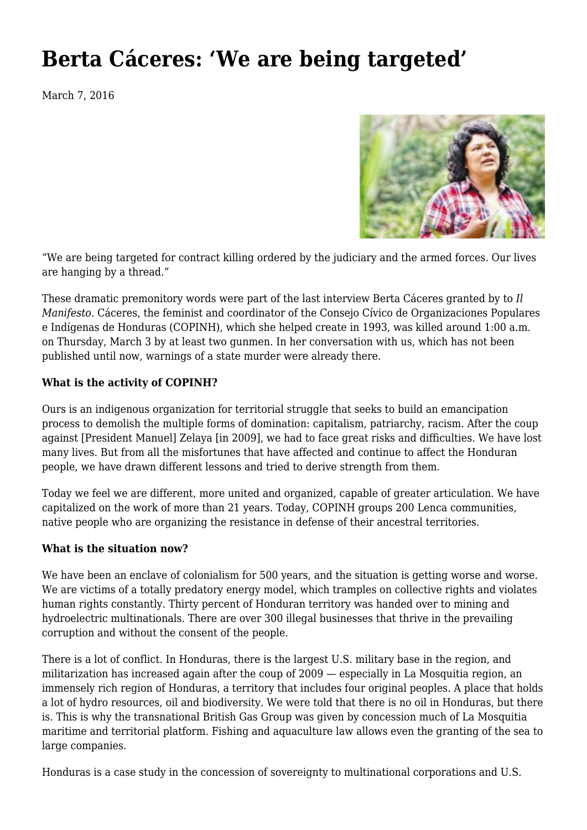## **[Berta Cáceres: 'We are being targeted'](https://newpol.org/berta-c%c3%a1ceres-we-are-being-targeted/)**

March 7, 2016



"We are being targeted for contract killing ordered by the judiciary and the armed forces. Our lives are hanging by a thread."

These dramatic premonitory words were part of the last interview Berta Cáceres granted by to *Il Manifesto*. Cáceres, the feminist and coordinator of the Consejo Cívico de Organizaciones Populares e Indígenas de Honduras (COPINH), which she helped create in 1993, was killed around 1:00 a.m. on Thursday, March 3 by at least two gunmen. In her conversation with us, which has not been published until now, warnings of a state murder were already there.

## **What is the activity of COPINH?**

Ours is an indigenous organization for territorial struggle that seeks to build an emancipation process to demolish the multiple forms of domination: capitalism, patriarchy, racism. After the coup against [President Manuel] Zelaya [in 2009], we had to face great risks and difficulties. We have lost many lives. But from all the misfortunes that have affected and continue to affect the Honduran people, we have drawn different lessons and tried to derive strength from them.

Today we feel we are different, more united and organized, capable of greater articulation. We have capitalized on the work of more than 21 years. Today, COPINH groups 200 Lenca communities, native people who are organizing the resistance in defense of their ancestral territories.

## **What is the situation now?**

We have been an enclave of colonialism for 500 years, and the situation is getting worse and worse. We are victims of a totally predatory energy model, which tramples on collective rights and violates human rights constantly. Thirty percent of Honduran territory was handed over to mining and hydroelectric multinationals. There are over 300 illegal businesses that thrive in the prevailing corruption and without the consent of the people.

There is a lot of conflict. In Honduras, there is the largest U.S. military base in the region, and militarization has increased again after the coup of 2009 — especially in La Mosquitia region, an immensely rich region of Honduras, a territory that includes four original peoples. A place that holds a lot of hydro resources, oil and biodiversity. We were told that there is no oil in Honduras, but there is. This is why the transnational British Gas Group was given by concession much of La Mosquitia maritime and territorial platform. Fishing and aquaculture law allows even the granting of the sea to large companies.

Honduras is a case study in the concession of sovereignty to multinational corporations and U.S.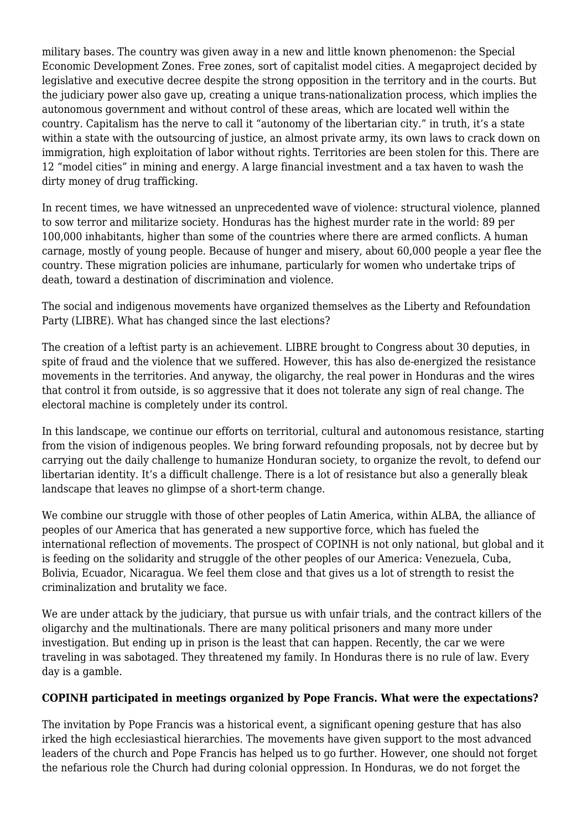military bases. The country was given away in a new and little known phenomenon: the Special Economic Development Zones. Free zones, sort of capitalist model cities. A megaproject decided by legislative and executive decree despite the strong opposition in the territory and in the courts. But the judiciary power also gave up, creating a unique trans-nationalization process, which implies the autonomous government and without control of these areas, which are located well within the country. Capitalism has the nerve to call it "autonomy of the libertarian city." in truth, it's a state within a state with the outsourcing of justice, an almost private army, its own laws to crack down on immigration, high exploitation of labor without rights. Territories are been stolen for this. There are 12 "model cities" in mining and energy. A large financial investment and a tax haven to wash the dirty money of drug trafficking.

In recent times, we have witnessed an unprecedented wave of violence: structural violence, planned to sow terror and militarize society. Honduras has the highest murder rate in the world: 89 per 100,000 inhabitants, higher than some of the countries where there are armed conflicts. A human carnage, mostly of young people. Because of hunger and misery, about 60,000 people a year flee the country. These migration policies are inhumane, particularly for women who undertake trips of death, toward a destination of discrimination and violence.

The social and indigenous movements have organized themselves as the Liberty and Refoundation Party (LIBRE). What has changed since the last elections?

The creation of a leftist party is an achievement. LIBRE brought to Congress about 30 deputies, in spite of fraud and the violence that we suffered. However, this has also de-energized the resistance movements in the territories. And anyway, the oligarchy, the real power in Honduras and the wires that control it from outside, is so aggressive that it does not tolerate any sign of real change. The electoral machine is completely under its control.

In this landscape, we continue our efforts on territorial, cultural and autonomous resistance, starting from the vision of indigenous peoples. We bring forward refounding proposals, not by decree but by carrying out the daily challenge to humanize Honduran society, to organize the revolt, to defend our libertarian identity. It's a difficult challenge. There is a lot of resistance but also a generally bleak landscape that leaves no glimpse of a short-term change.

We combine our struggle with those of other peoples of Latin America, within ALBA, the alliance of peoples of our America that has generated a new supportive force, which has fueled the international reflection of movements. The prospect of COPINH is not only national, but global and it is feeding on the solidarity and struggle of the other peoples of our America: Venezuela, Cuba, Bolivia, Ecuador, Nicaragua. We feel them close and that gives us a lot of strength to resist the criminalization and brutality we face.

We are under attack by the judiciary, that pursue us with unfair trials, and the contract killers of the oligarchy and the multinationals. There are many political prisoners and many more under investigation. But ending up in prison is the least that can happen. Recently, the car we were traveling in was sabotaged. They threatened my family. In Honduras there is no rule of law. Every day is a gamble.

## **COPINH participated in meetings organized by Pope Francis. What were the expectations?**

The invitation by Pope Francis was a historical event, a significant opening gesture that has also irked the high ecclesiastical hierarchies. The movements have given support to the most advanced leaders of the church and Pope Francis has helped us to go further. However, one should not forget the nefarious role the Church had during colonial oppression. In Honduras, we do not forget the